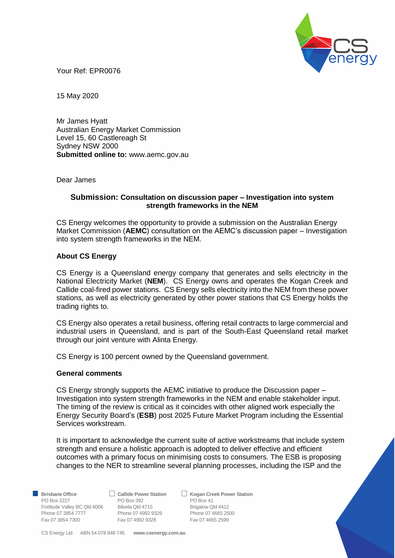

Your Ref: EPR0076

15 May 2020

Mr James Hyatt Australian Energy Market Commission Level 15, 60 Castlereagh St Sydney NSW 2000 **Submitted online to:** www.aemc.gov.au

Dear James

# **Submission: Consultation on discussion paper – Investigation into system strength frameworks in the NEM**

CS Energy welcomes the opportunity to provide a submission on the Australian Energy Market Commission (**AEMC**) consultation on the AEMC's discussion paper – Investigation into system strength frameworks in the NEM.

# **About CS Energy**

CS Energy is a Queensland energy company that generates and sells electricity in the National Electricity Market (**NEM**). CS Energy owns and operates the Kogan Creek and Callide coal-fired power stations. CS Energy sells electricity into the NEM from these power stations, as well as electricity generated by other power stations that CS Energy holds the trading rights to.

CS Energy also operates a retail business, offering retail contracts to large commercial and industrial users in Queensland, and is part of the South-East Queensland retail market through our joint venture with Alinta Energy.

CS Energy is 100 percent owned by the Queensland government.

## **General comments**

CS Energy strongly supports the AEMC initiative to produce the Discussion paper – Investigation into system strength frameworks in the NEM and enable stakeholder input. The timing of the review is critical as it coincides with other aligned work especially the Energy Security Board's (**ESB**) post 2025 Future Market Program including the Essential Services workstream.

It is important to acknowledge the current suite of active workstreams that include system strength and ensure a holistic approach is adopted to deliver effective and efficient outcomes with a primary focus on minimising costs to consumers. The ESB is proposing changes to the NER to streamline several planning processes, including the ISP and the

PO Box 2227 PO Box 392 PO Box 41 Fortitude Valley BC Qld 4006 Biloela Qld 4715 Brigalow Qld 4412 Phone 07 3854 7777<br>
Phone 07 3854 7777<br>
Fax 07 4992 9328<br>
Fax 07 4665 2599<br>
Fax 07 4665 2599 Fax 07 3854 7300 Fax 07 4992 9328

**Brisbane Office**  $\Box$  **Callide Power Station**<br>PO Box 2227 **PO Box 392 PO Box 41** 

CS Energy Ltd ABN 54 078 848 745 **www.csenergy.com.au**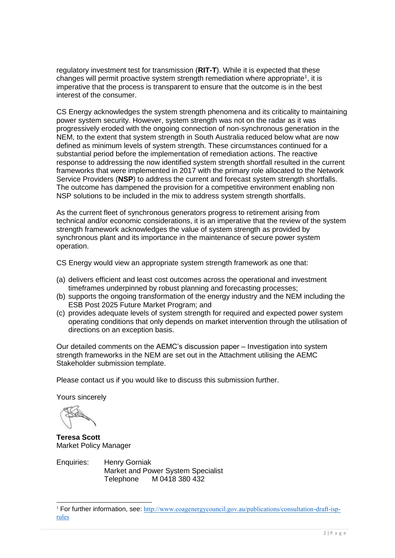regulatory investment test for transmission (**RIT-T**). While it is expected that these changes will permit proactive system strength remediation where appropriate<sup>1</sup>, it is imperative that the process is transparent to ensure that the outcome is in the best interest of the consumer.

CS Energy acknowledges the system strength phenomena and its criticality to maintaining power system security. However, system strength was not on the radar as it was progressively eroded with the ongoing connection of non-synchronous generation in the NEM, to the extent that system strength in South Australia reduced below what are now defined as minimum levels of system strength. These circumstances continued for a substantial period before the implementation of remediation actions. The reactive response to addressing the now identified system strength shortfall resulted in the current frameworks that were implemented in 2017 with the primary role allocated to the Network Service Providers (**NSP**) to address the current and forecast system strength shortfalls. The outcome has dampened the provision for a competitive environment enabling non NSP solutions to be included in the mix to address system strength shortfalls.

As the current fleet of synchronous generators progress to retirement arising from technical and/or economic considerations, it is an imperative that the review of the system strength framework acknowledges the value of system strength as provided by synchronous plant and its importance in the maintenance of secure power system operation.

CS Energy would view an appropriate system strength framework as one that:

- (a) delivers efficient and least cost outcomes across the operational and investment timeframes underpinned by robust planning and forecasting processes:
- (b) supports the ongoing transformation of the energy industry and the NEM including the ESB Post 2025 Future Market Program; and
- (c) provides adequate levels of system strength for required and expected power system operating conditions that only depends on market intervention through the utilisation of directions on an exception basis.

Our detailed comments on the AEMC's discussion paper – Investigation into system strength frameworks in the NEM are set out in the Attachment utilising the AEMC Stakeholder submission template.

Please contact us if you would like to discuss this submission further.

Yours sincerely

-

**Teresa Scott** Market Policy Manager

Enquiries: Henry Gorniak Market and Power System Specialist Telephone M 0418 380 432

<sup>&</sup>lt;sup>1</sup> For further information, see: [http://www.coagenergycouncil.gov.au/publications/consultation-draft-isp](http://www.coagenergycouncil.gov.au/publications/consultation-draft-isp-rules)[rules](http://www.coagenergycouncil.gov.au/publications/consultation-draft-isp-rules)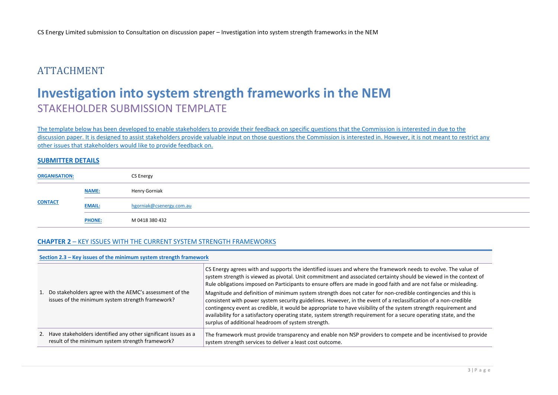# ATTACHMENT

# **Investigation into system strength frameworks in the NEM**  STAKEHOLDER SUBMISSION TEMPLATE

The template below has been developed to enable stakeholders to provide their feedback on specific questions that the Commission is interested in due to the discussion paper. It is designed to assist stakeholders provide valuable input on those questions the Commission is interested in. However, it is not meant to restrict any other issues that stakeholders would like to provide feedback on.

### **SUBMITTER DETAILS**

| <b>ORGANISATION:</b> |               | CS Energy                |
|----------------------|---------------|--------------------------|
|                      | <b>NAME:</b>  | Henry Gorniak            |
| <b>CONTACT</b>       | <b>EMAIL:</b> | hgorniak@csenergy.com.au |
|                      | <b>PHONE:</b> | M 0418 380 432           |

## **CHAPTER 2** – KEY ISSUES WITH THE CURRENT SYSTEM STRENGTH FRAMEWORKS

#### **Section 2.3 – Key issues of the minimum system strength framework**

| 1. Do stakeholders agree with the AEMC's assessment of the<br>issues of the minimum system strength framework?        | CS Energy agrees with and supports the identified issues and where the framework needs to evolve. The value of<br>system strength is viewed as pivotal. Unit commitment and associated certainty should be viewed in the context of<br>Rule obligations imposed on Participants to ensure offers are made in good faith and are not false or misleading.<br>Magnitude and definition of minimum system strength does not cater for non-credible contingencies and this is<br>consistent with power system security guidelines. However, in the event of a reclassification of a non-credible<br>contingency event as credible, it would be appropriate to have visibility of the system strength requirement and<br>availability for a satisfactory operating state, system strength requirement for a secure operating state, and the<br>surplus of additional headroom of system strength. |
|-----------------------------------------------------------------------------------------------------------------------|----------------------------------------------------------------------------------------------------------------------------------------------------------------------------------------------------------------------------------------------------------------------------------------------------------------------------------------------------------------------------------------------------------------------------------------------------------------------------------------------------------------------------------------------------------------------------------------------------------------------------------------------------------------------------------------------------------------------------------------------------------------------------------------------------------------------------------------------------------------------------------------------|
| 2. Have stakeholders identified any other significant issues as a<br>result of the minimum system strength framework? | The framework must provide transparency and enable non NSP providers to compete and be incentivised to provide<br>system strength services to deliver a least cost outcome.                                                                                                                                                                                                                                                                                                                                                                                                                                                                                                                                                                                                                                                                                                                  |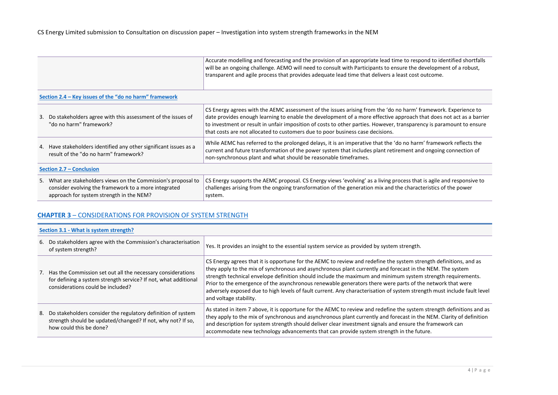| Accurate modelling and forecasting and the provision of an appropriate lead time to respond to identified shortfalls |
|----------------------------------------------------------------------------------------------------------------------|
| will be an ongoing challenge. AEMO will need to consult with Participants to ensure the development of a robust,     |
| transparent and agile process that provides adequate lead time that delivers a least cost outcome.                   |
|                                                                                                                      |

### **Section 2.4 – Key issues of the "do no harm" framework**

|                          | 3. Do stakeholders agree with this assessment of the issues of<br>"do no harm" framework?                  | CS Energy agrees with the AEMC assessment of the issues arising from the 'do no harm' framework. Experience to<br>date provides enough learning to enable the development of a more effective approach that does not act as a barrier<br>to investment or result in unfair imposition of costs to other parties. However, transparency is paramount to ensure<br>that costs are not allocated to customers due to poor business case decisions. |
|--------------------------|------------------------------------------------------------------------------------------------------------|-------------------------------------------------------------------------------------------------------------------------------------------------------------------------------------------------------------------------------------------------------------------------------------------------------------------------------------------------------------------------------------------------------------------------------------------------|
|                          | 4. Have stakeholders identified any other significant issues as a<br>result of the "do no harm" framework? | While AEMC has referred to the prolonged delays, it is an imperative that the 'do no harm' framework reflects the<br>current and future transformation of the power system that includes plant retirement and ongoing connection of<br>non-synchronous plant and what should be reasonable timeframes.                                                                                                                                          |
| Section 2.7 – Conclusion |                                                                                                            |                                                                                                                                                                                                                                                                                                                                                                                                                                                 |
|                          | 5. What are stakeholders views on the Commission's proposal to                                             | CS Energy supports the AEMC proposal. CS Energy views 'evolving' as a living process that is agile and responsive to                                                                                                                                                                                                                                                                                                                            |

| What are stakeholders views on the Commission's proposal to | CS Energy supports the AEMC proposal. CS Energy views 'evolving' as a living process that is agile and responsive to |
|-------------------------------------------------------------|----------------------------------------------------------------------------------------------------------------------|
| consider evolving the framework to a more integrated        | challenges arising from the ongoing transformation of the generation mix and the characteristics of the power        |
| approach for system strength in the NEM?                    | system.                                                                                                              |

## **CHAPTER 3** – CONSIDERATIONS FOR PROVISION OF SYSTEM STRENGTH

## **Section 3.1 - What is system strength?**

٠

| 6. Do stakeholders agree with the Commission's characterisation<br>of system strength?                                                                                 | Yes. It provides an insight to the essential system service as provided by system strength.                                                                                                                                                                                                                                                                                                                                                                                                                                                                                                                     |
|------------------------------------------------------------------------------------------------------------------------------------------------------------------------|-----------------------------------------------------------------------------------------------------------------------------------------------------------------------------------------------------------------------------------------------------------------------------------------------------------------------------------------------------------------------------------------------------------------------------------------------------------------------------------------------------------------------------------------------------------------------------------------------------------------|
| 7. Has the Commission set out all the necessary considerations<br>for defining a system strength service? If not, what additional<br>considerations could be included? | CS Energy agrees that it is opportune for the AEMC to review and redefine the system strength definitions, and as<br>they apply to the mix of synchronous and asynchronous plant currently and forecast in the NEM. The system<br>strength technical envelope definition should include the maximum and minimum system strength requirements.<br>Prior to the emergence of the asynchronous renewable generators there were parts of the network that were<br>adversely exposed due to high levels of fault current. Any characterisation of system strength must include fault level<br>and voltage stability. |
| 8. Do stakeholders consider the regulatory definition of system<br>strength should be updated/changed? If not, why not? If so,<br>how could this be done?              | As stated in item 7 above, it is opportune for the AEMC to review and redefine the system strength definitions and as<br>they apply to the mix of synchronous and asynchronous plant currently and forecast in the NEM. Clarity of definition<br>and description for system strength should deliver clear investment signals and ensure the framework can<br>accommodate new technology advancements that can provide system strength in the future.                                                                                                                                                            |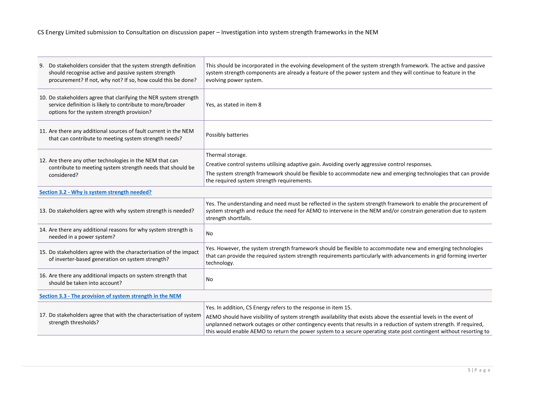CS Energy Limited submission to Consultation on discussion paper – Investigation into system strength frameworks in the NEM

| 9. Do stakeholders consider that the system strength definition<br>should recognise active and passive system strength<br>procurement? If not, why not? If so, how could this be done? | This should be incorporated in the evolving development of the system strength framework. The active and passive<br>system strength components are already a feature of the power system and they will continue to feature in the<br>evolving power system.                                                                                                    |
|----------------------------------------------------------------------------------------------------------------------------------------------------------------------------------------|----------------------------------------------------------------------------------------------------------------------------------------------------------------------------------------------------------------------------------------------------------------------------------------------------------------------------------------------------------------|
| 10. Do stakeholders agree that clarifying the NER system strength<br>service definition is likely to contribute to more/broader<br>options for the system strength provision?          | Yes, as stated in item 8                                                                                                                                                                                                                                                                                                                                       |
| 11. Are there any additional sources of fault current in the NEM<br>that can contribute to meeting system strength needs?                                                              | Possibly batteries                                                                                                                                                                                                                                                                                                                                             |
|                                                                                                                                                                                        | Thermal storage.                                                                                                                                                                                                                                                                                                                                               |
| 12. Are there any other technologies in the NEM that can<br>contribute to meeting system strength needs that should be                                                                 | Creative control systems utilising adaptive gain. Avoiding overly aggressive control responses.                                                                                                                                                                                                                                                                |
| considered?                                                                                                                                                                            | The system strength framework should be flexible to accommodate new and emerging technologies that can provide<br>the required system strength requirements.                                                                                                                                                                                                   |
| Section 3.2 - Why is system strength needed?                                                                                                                                           |                                                                                                                                                                                                                                                                                                                                                                |
| 13. Do stakeholders agree with why system strength is needed?                                                                                                                          | Yes. The understanding and need must be reflected in the system strength framework to enable the procurement of<br>system strength and reduce the need for AEMO to intervene in the NEM and/or constrain generation due to system<br>strength shortfalls.                                                                                                      |
| 14. Are there any additional reasons for why system strength is<br>needed in a power system?                                                                                           | No                                                                                                                                                                                                                                                                                                                                                             |
| 15. Do stakeholders agree with the characterisation of the impact<br>of inverter-based generation on system strength?                                                                  | Yes. However, the system strength framework should be flexible to accommodate new and emerging technologies<br>that can provide the required system strength requirements particularly with advancements in grid forming inverter<br>technology.                                                                                                               |
| 16. Are there any additional impacts on system strength that<br>should be taken into account?                                                                                          | No                                                                                                                                                                                                                                                                                                                                                             |
| Section 3.3 - The provision of system strength in the NEM                                                                                                                              |                                                                                                                                                                                                                                                                                                                                                                |
|                                                                                                                                                                                        | Yes. In addition, CS Energy refers to the response in item 15.                                                                                                                                                                                                                                                                                                 |
| 17. Do stakeholders agree that with the characterisation of system<br>strength thresholds?                                                                                             | AEMO should have visibility of system strength availability that exists above the essential levels in the event of<br>unplanned network outages or other contingency events that results in a reduction of system strength. If required,<br>this would enable AEMO to return the power system to a secure operating state post contingent without resorting to |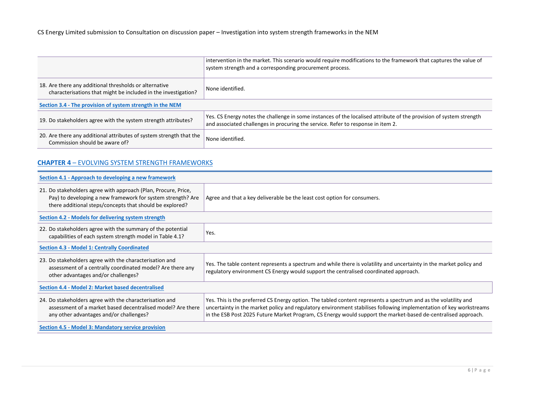|                                                                                                                          | intervention in the market. This scenario would require modifications to the framework that captures the value of<br>system strength and a corresponding procurement process.                           |  |
|--------------------------------------------------------------------------------------------------------------------------|---------------------------------------------------------------------------------------------------------------------------------------------------------------------------------------------------------|--|
| 18. Are there any additional thresholds or alternative<br>characterisations that might be included in the investigation? | None identified.                                                                                                                                                                                        |  |
| Section 3.4 - The provision of system strength in the NEM                                                                |                                                                                                                                                                                                         |  |
| 19. Do stakeholders agree with the system strength attributes?                                                           | Yes. CS Energy notes the challenge in some instances of the localised attribute of the provision of system strength<br>and associated challenges in procuring the service. Refer to response in item 2. |  |
| 20. Are there any additional attributes of system strength that the<br>Commission should be aware of?                    | None identified.                                                                                                                                                                                        |  |

# **CHAPTER 4** – EVOLVING SYSTEM STRENGTH FRAMEWORKS

| Section 4.1 - Approach to developing a new framework                                                                                                                                      |                                                                                                                                                                                                                                                                                                                                                        |  |
|-------------------------------------------------------------------------------------------------------------------------------------------------------------------------------------------|--------------------------------------------------------------------------------------------------------------------------------------------------------------------------------------------------------------------------------------------------------------------------------------------------------------------------------------------------------|--|
| 21. Do stakeholders agree with approach (Plan, Procure, Price,<br>Pay) to developing a new framework for system strength? Are<br>there additional steps/concepts that should be explored? | Agree and that a key deliverable be the least cost option for consumers.                                                                                                                                                                                                                                                                               |  |
| Section 4.2 - Models for delivering system strength                                                                                                                                       |                                                                                                                                                                                                                                                                                                                                                        |  |
| 22. Do stakeholders agree with the summary of the potential<br>capabilities of each system strength model in Table 4.1?                                                                   | Yes.                                                                                                                                                                                                                                                                                                                                                   |  |
| <b>Section 4.3 - Model 1: Centrally Coordinated</b>                                                                                                                                       |                                                                                                                                                                                                                                                                                                                                                        |  |
| 23. Do stakeholders agree with the characterisation and<br>assessment of a centrally coordinated model? Are there any<br>other advantages and/or challenges?                              | Yes. The table content represents a spectrum and while there is volatility and uncertainty in the market policy and<br>regulatory environment CS Energy would support the centralised coordinated approach.                                                                                                                                            |  |
| Section 4.4 - Model 2: Market based decentralised                                                                                                                                         |                                                                                                                                                                                                                                                                                                                                                        |  |
| 24. Do stakeholders agree with the characterisation and<br>assessment of a market based decentralised model? Are there<br>any other advantages and/or challenges?                         | Yes. This is the preferred CS Energy option. The tabled content represents a spectrum and as the volatility and<br>uncertainty in the market policy and regulatory environment stabilises following implementation of key workstreams<br>in the ESB Post 2025 Future Market Program, CS Energy would support the market-based de-centralised approach. |  |
| Section 4.5 - Model 3: Mandatory service provision                                                                                                                                        |                                                                                                                                                                                                                                                                                                                                                        |  |